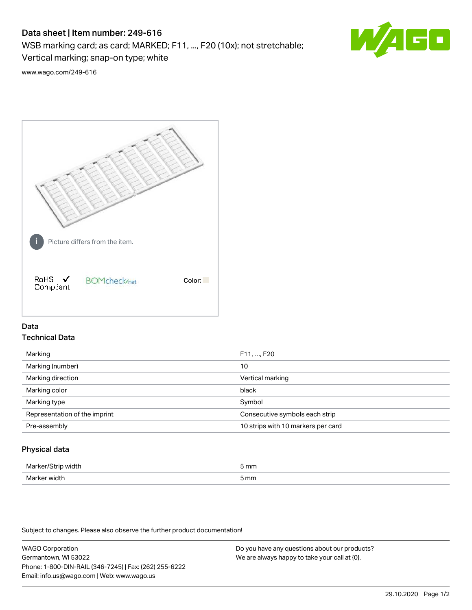# Data sheet | Item number: 249-616

WSB marking card; as card; MARKED; F11, ..., F20 (10x); not stretchable;

Vertical marking; snap-on type; white



[www.wago.com/249-616](http://www.wago.com/249-616)



## Data Technical Data

| Marking                       | F11, , F20                         |
|-------------------------------|------------------------------------|
| Marking (number)              | 10                                 |
| Marking direction             | Vertical marking                   |
| Marking color                 | black                              |
| Marking type                  | Symbol                             |
| Representation of the imprint | Consecutive symbols each strip     |
| Pre-assembly                  | 10 strips with 10 markers per card |
|                               |                                    |

## Physical data

| Mai<br>н | 5 mm |
|----------|------|
| ندا\ا    | mm   |
| VK 11.   | .    |
|          |      |

Subject to changes. Please also observe the further product documentation!

WAGO Corporation Germantown, WI 53022 Phone: 1-800-DIN-RAIL (346-7245) | Fax: (262) 255-6222 Email: info.us@wago.com | Web: www.wago.us Do you have any questions about our products? We are always happy to take your call at {0}.

29.10.2020 Page 1/2